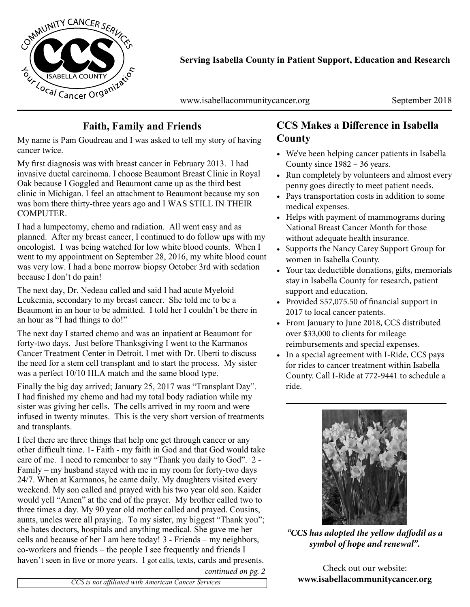

**Serving Isabella County in Patient Support, Education and Research**

www.isabellacommunitycancer.org September 2018

# **Faith, Family and Friends**

My name is Pam Goudreau and I was asked to tell my story of having cancer twice.

My first diagnosis was with breast cancer in February 2013. I had invasive ductal carcinoma. I choose Beaumont Breast Clinic in Royal Oak because I Goggled and Beaumont came up as the third best clinic in Michigan. I feel an attachment to Beaumont because my son was born there thirty-three years ago and I WAS STILL IN THEIR COMPUTER.

I had a lumpectomy, chemo and radiation. All went easy and as planned. After my breast cancer, I continued to do follow ups with my oncologist. I was being watched for low white blood counts. When I went to my appointment on September 28, 2016, my white blood count was very low. I had a bone morrow biopsy October 3rd with sedation because I don't do pain!

The next day, Dr. Nedeau called and said I had acute Myeloid Leukemia, secondary to my breast cancer. She told me to be a Beaumont in an hour to be admitted. I told her I couldn't be there in an hour as "I had things to do!"

The next day I started chemo and was an inpatient at Beaumont for forty-two days. Just before Thanksgiving I went to the Karmanos Cancer Treatment Center in Detroit. I met with Dr. Uberti to discuss the need for a stem cell transplant and to start the process. My sister was a perfect 10/10 HLA match and the same blood type.

Finally the big day arrived; January 25, 2017 was "Transplant Day". I had finished my chemo and had my total body radiation while my sister was giving her cells. The cells arrived in my room and were infused in twenty minutes. This is the very short version of treatments and transplants.

I feel there are three things that help one get through cancer or any other difficult time. 1- Faith - my faith in God and that God would take care of me. I need to remember to say "Thank you daily to God". 2 - Family – my husband stayed with me in my room for forty-two days 24/7. When at Karmanos, he came daily. My daughters visited every weekend. My son called and prayed with his two year old son. Kaider would yell "Amen" at the end of the prayer. My brother called two to three times a day. My 90 year old mother called and prayed. Cousins, aunts, uncles were all praying. To my sister, my biggest "Thank you"; she hates doctors, hospitals and anything medical. She gave me her cells and because of her I am here today! 3 - Friends – my neighbors, co-workers and friends – the people I see frequently and friends I haven't seen in five or more years. I got calls, texts, cards and presents.

## **CCS Makes a Difference in Isabella County**

- We've been helping cancer patients in Isabella County since 1982 – 36 years.
- Run completely by volunteers and almost every penny goes directly to meet patient needs.
- Pays transportation costs in addition to some medical expenses.
- Helps with payment of mammograms during National Breast Cancer Month for those without adequate health insurance.
- Supports the Nancy Carey Support Group for women in Isabella County.
- Your tax deductible donations, gifts, memorials stay in Isabella County for research, patient support and education.
- Provided \$57,075.50 of financial support in 2017 to local cancer patents.
- From January to June 2018, CCS distributed over \$33,000 to clients for mileage reimbursements and special expenses.
- In a special agreement with I-Ride, CCS pays for rides to cancer treatment within Isabella County. Call I-Ride at 772-9441 to schedule a ride.



*"CCS has adopted the yellow daffodil as a symbol of hope and renewal".*

Check out our website: *continued on pg. 2*<br>*www.isabellacommunitycancer.org*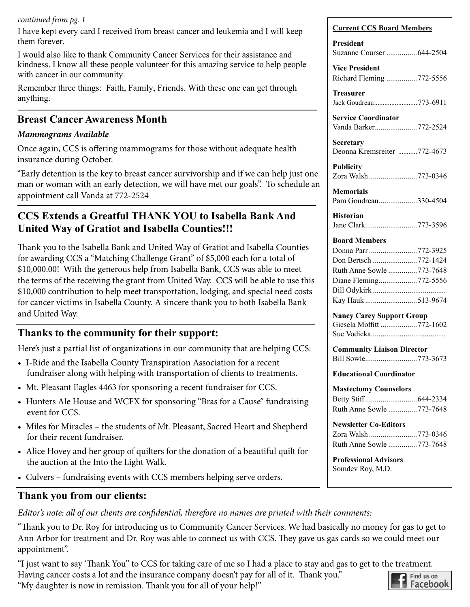#### *continued from pg. 1*

I have kept every card I received from breast cancer and leukemia and I will keep them forever.

I would also like to thank Community Cancer Services for their assistance and kindness. I know all these people volunteer for this amazing service to help people with cancer in our community.

Remember three things: Faith, Family, Friends. With these one can get through anything.

#### **Breast Cancer Awareness Month**

#### *Mammograms Available*

Once again, CCS is offering mammograms for those without adequate health insurance during October.

"Early detention is the key to breast cancer survivorship and if we can help just one man or woman with an early detection, we will have met our goals". To schedule an appointment call Vanda at 772-2524

## **CCS Extends a Greatful THANK YOU to Isabella Bank And United Way of Gratiot and Isabella Counties!!!**

Thank you to the Isabella Bank and United Way of Gratiot and Isabella Counties for awarding CCS a "Matching Challenge Grant" of \$5,000 each for a total of \$10,000.00! With the generous help from Isabella Bank, CCS was able to meet the terms of the receiving the grant from United Way. CCS will be able to use this \$10,000 contribution to help meet transportation, lodging, and special need costs for cancer victims in Isabella County. A sincere thank you to both Isabella Bank and United Way.

#### **Thanks to the community for their support:**

Here's just a partial list of organizations in our community that are helping CCS:

- I-Ride and the Isabella County Transpiration Association for a recent fundraiser along with helping with transportation of clients to treatments.
- Mt. Pleasant Eagles 4463 for sponsoring a recent fundraiser for CCS.
- Hunters Ale House and WCFX for sponsoring "Bras for a Cause" fundraising event for CCS.
- Miles for Miracles the students of Mt. Pleasant, Sacred Heart and Shepherd for their recent fundraiser.
- Alice Hovey and her group of quilters for the donation of a beautiful quilt for the auction at the Into the Light Walk.
- Culvers fundraising events with CCS members helping serve orders.

#### **Thank you from our clients:**

*Editor's note: all of our clients are confidential, therefore no names are printed with their comments:*

"Thank you to Dr. Roy for introducing us to Community Cancer Services. We had basically no money for gas to get to Ann Arbor for treatment and Dr. Roy was able to connect us with CCS. They gave us gas cards so we could meet our appointment".

"I just want to say 'Thank You" to CCS for taking care of me so I had a place to stay and gas to get to the treatment.

Having cancer costs a lot and the insurance company doesn't pay for all of it. Thank you."

"My daughter is now in remission. Thank you for all of your help!"

#### **Current CCS Board Members**

| President<br>Suzanne Courser 644-2504                                                                                                         |
|-----------------------------------------------------------------------------------------------------------------------------------------------|
| <b>Vice President</b><br>Richard Fleming 772-5556                                                                                             |
| Treasurer<br>Jack Goudreau773-6911                                                                                                            |
| <b>Service Coordinator</b><br>Vanda Barker772-2524                                                                                            |
| Secretary<br>Deonna Kremsreiter 772-4673                                                                                                      |
| Publicity<br>Zora Walsh 773-0346                                                                                                              |
| <b>Memorials</b><br>Pam Goudreau330-4504                                                                                                      |
| <b>Historian</b><br>Jane Clark773-3596                                                                                                        |
| <b>Board Members</b><br>Donna Parr 772-3925<br>Don Bertsch 772-1424<br>Ruth Anne Sowle 773-7648<br>Diane Fleming772-5556<br>Kay Hauk 513-9674 |
| <b>Nancy Carey Support Group</b><br>Giesela Moffitt 772-1602                                                                                  |
| <b>Community Liaison Director</b><br>Bill Sowle773-3673                                                                                       |
| <b>Educational Coordinator</b>                                                                                                                |
| <b>Mastectomy Counselors</b><br>Ruth Anne Sowle 773-7648                                                                                      |
| <b>Newsletter Co-Editors</b><br>Zora Walsh 773-0346<br>Ruth Anne Sowle 773-7648<br><b>Professional Advisors</b><br>Somdev Roy, M.D.           |
|                                                                                                                                               |

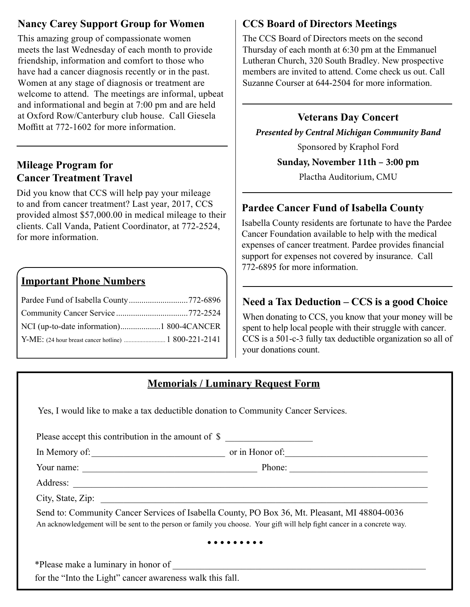# **Nancy Carey Support Group for Women**

This amazing group of compassionate women meets the last Wednesday of each month to provide friendship, information and comfort to those who have had a cancer diagnosis recently or in the past. Women at any stage of diagnosis or treatment are welcome to attend. The meetings are informal, upbeat and informational and begin at 7:00 pm and are held at Oxford Row/Canterbury club house. Call Giesela Moffitt at 772-1602 for more information.

# **Mileage Program for Cancer Treatment Travel**

Did you know that CCS will help pay your mileage to and from cancer treatment? Last year, 2017, CCS provided almost \$57,000.00 in medical mileage to their clients. Call Vanda, Patient Coordinator, at 772-2524, for more information.

## **Important Phone Numbers**

# **CCS Board of Directors Meetings**

The CCS Board of Directors meets on the second Thursday of each month at 6:30 pm at the Emmanuel Lutheran Church, 320 South Bradley. New prospective members are invited to attend. Come check us out. Call Suzanne Courser at 644-2504 for more information.

## **Veterans Day Concert**

*Presented by Central Michigan Community Band*

Sponsored by Kraphol Ford

**Sunday, November 11th – 3:00 pm**

Plactha Auditorium, CMU

## **Pardee Cancer Fund of Isabella County**

Isabella County residents are fortunate to have the Pardee Cancer Foundation available to help with the medical expenses of cancer treatment. Pardee provides financial support for expenses not covered by insurance. Call 772-6895 for more information.

## **Need a Tax Deduction – CCS is a good Choice**

When donating to CCS, you know that your money will be spent to help local people with their struggle with cancer. CCS is a 501-c-3 fully tax deductible organization so all of your donations count.

# **Memorials / Luminary Request Form**

Yes, I would like to make a tax deductible donation to Community Cancer Services.

| Please accept this contribution in the amount of \$ |                                                                                                                                                                                                                          |
|-----------------------------------------------------|--------------------------------------------------------------------------------------------------------------------------------------------------------------------------------------------------------------------------|
| In Memory of:                                       | or in Honor of:                                                                                                                                                                                                          |
| Your name:                                          | Phone:                                                                                                                                                                                                                   |
|                                                     |                                                                                                                                                                                                                          |
| City, State, Zip:                                   |                                                                                                                                                                                                                          |
|                                                     | Send to: Community Cancer Services of Isabella County, PO Box 36, Mt. Pleasant, MI 48804-0036<br>An acknowledgement will be sent to the person or family you choose. Your gift will help fight cancer in a concrete way. |
|                                                     |                                                                                                                                                                                                                          |

\*Please make a luminary in honor of \_\_\_\_\_\_\_\_\_\_\_\_\_\_\_\_\_\_\_\_\_\_\_\_\_\_\_\_\_\_\_\_\_\_\_\_\_\_\_\_\_\_\_\_\_\_\_\_\_\_\_\_\_\_\_ for the "Into the Light" cancer awareness walk this fall.